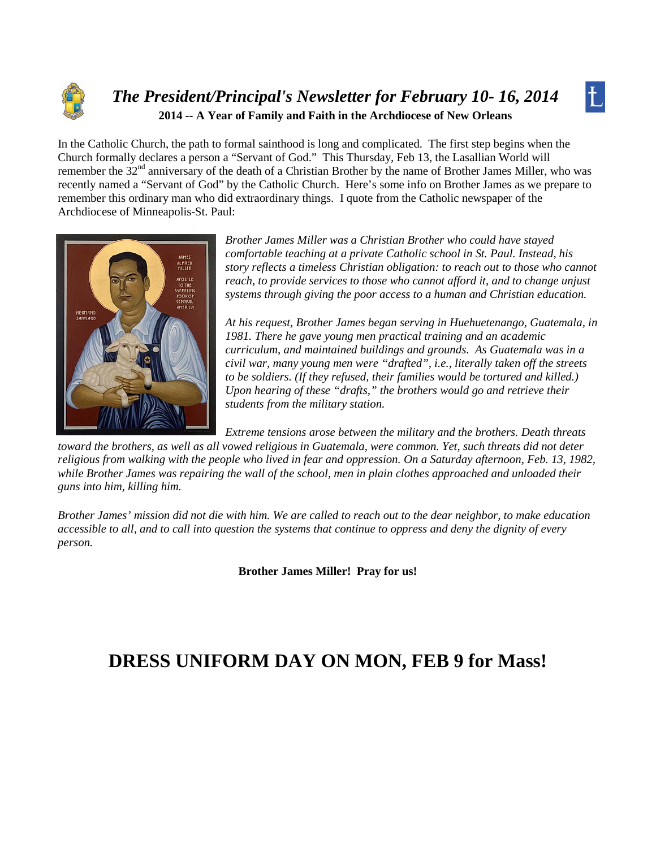

### *The President/Principal's Newsletter for February 10- 16, 2014* **2014 -- A Year of Family and Faith in the Archdiocese of New Orleans**

In the Catholic Church, the path to formal sainthood is long and complicated. The first step begins when the Church formally declares a person a "Servant of God." This Thursday, Feb 13, the Lasallian World will remember the 32<sup>nd</sup> anniversary of the death of a Christian Brother by the name of Brother James Miller, who was recently named a "Servant of God" by the Catholic Church. Here's some info on Brother James as we prepare to remember this ordinary man who did extraordinary things. I quote from the Catholic newspaper of the Archdiocese of Minneapolis-St. Paul:



*Brother James Miller was a Christian Brother who could have stayed comfortable teaching at a private Catholic school in St. Paul. Instead, his story reflects a timeless Christian obligation: to reach out to those who cannot reach, to provide services to those who cannot afford it, and to change unjust systems through giving the poor access to a human and Christian education.*

 $\mathcal{L}$ 

*At his request, Brother James began serving in Huehuetenango, Guatemala, in 1981. There he gave young men practical training and an academic curriculum, and maintained buildings and grounds. As Guatemala was in a civil war, many young men were "drafted", i.e., literally taken off the streets to be soldiers. (If they refused, their families would be tortured and killed.) Upon hearing of these "drafts," the brothers would go and retrieve their students from the military station.*

*Extreme tensions arose between the military and the brothers. Death threats toward the brothers, as well as all vowed religious in Guatemala, were common. Yet, such threats did not deter religious from walking with the people who lived in fear and oppression. On a Saturday afternoon, Feb. 13, 1982, while Brother James was repairing the wall of the school, men in plain clothes approached and unloaded their guns into him, killing him.*

*Brother James' mission did not die with him. We are called to reach out to the dear neighbor, to make education accessible to all, and to call into question the systems that continue to oppress and deny the dignity of every person.*

**Brother James Miller! Pray for us!**

### **DRESS UNIFORM DAY ON MON, FEB 9 for Mass!**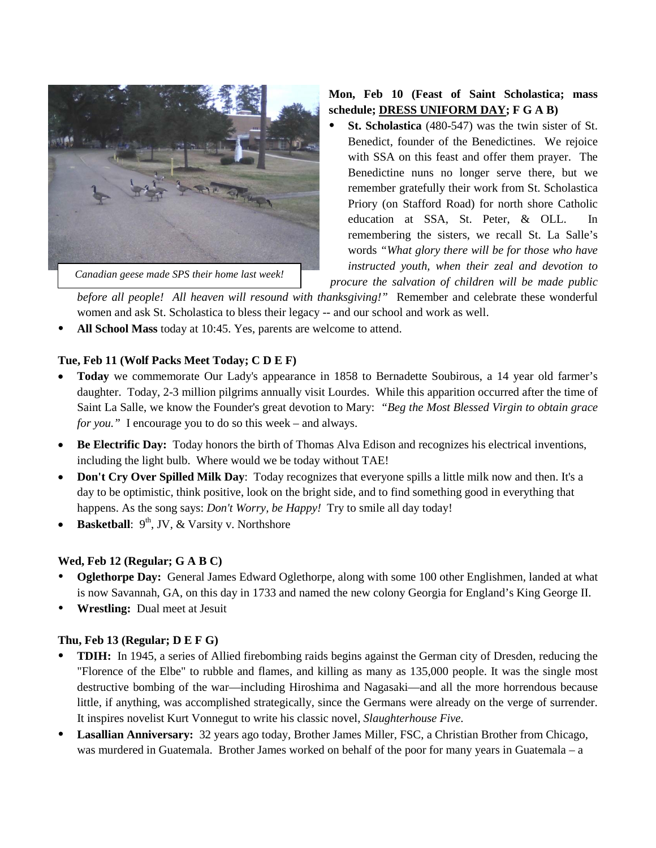

*Canadian geese made SPS their home last week!*

#### **Mon, Feb 10 (Feast of Saint Scholastica; mass schedule; DRESS UNIFORM DAY; F G A B)**

 **St. Scholastica** (480-547) was the twin sister of St. Benedict, founder of the Benedictines. We rejoice with SSA on this feast and offer them prayer. The Benedictine nuns no longer serve there, but we remember gratefully their work from St. Scholastica Priory (on Stafford Road) for north shore Catholic education at SSA, St. Peter, & OLL. In remembering the sisters, we recall St. La Salle's words *"What glory there will be for those who have instructed youth, when their zeal and devotion to* 

*procure the salvation of children will be made public* 

*before all people! All heaven will resound with thanksgiving!"* Remember and celebrate these wonderful women and ask St. Scholastica to bless their legacy -- and our school and work as well.

**All School Mass** today at 10:45. Yes, parents are welcome to attend.

#### **Tue, Feb 11 (Wolf Packs Meet Today; C D E F)**

- **Today** we commemorate Our Lady's appearance in 1858 to Bernadette Soubirous, a 14 year old farmer's daughter. Today, 2-3 million pilgrims annually visit Lourdes. While this apparition occurred after the time of Saint La Salle, we know the Founder's great devotion to Mary: *"Beg the Most Blessed Virgin to obtain grace for you."* I encourage you to do so this week – and always.
- **Be Electrific Day:** Today honors the birth of Thomas Alva Edison and recognizes his electrical inventions, including the light bulb. Where would we be today without TAE!
- **Don't Cry Over Spilled Milk Day**: Today recognizes that everyone spills a little milk now and then. It's a day to be optimistic, think positive, look on the bright side, and to find something good in everything that happens. As the song says: *Don't Worry, be Happy!* Try to smile all day today!
- **Basketball**: 9<sup>th</sup>, JV, & Varsity v. Northshore

#### **Wed, Feb 12 (Regular; G A B C)**

- **Oglethorpe Day:** General James Edward Oglethorpe, along with some 100 other Englishmen, landed at what is now Savannah, GA, on this day in 1733 and named the new colony Georgia for England's King George II.
- **Wrestling:** Dual meet at Jesuit

#### **Thu, Feb 13 (Regular; D E F G)**

- **TDIH:** In 1945, a series of Allied firebombing raids begins against the German city of Dresden, reducing the "Florence of the Elbe" to rubble and flames, and killing as many as 135,000 people. It was the single most destructive bombing of the war—including Hiroshima and Nagasaki—and all the more horrendous because little, if anything, was accomplished strategically, since the Germans were already on the verge of surrender. It inspires novelist Kurt Vonnegut to write his classic novel, *Slaughterhouse Five.*
- **Lasallian Anniversary:** 32 years ago today, Brother James Miller, FSC, a Christian Brother from Chicago, was murdered in Guatemala. Brother James worked on behalf of the poor for many years in Guatemala – a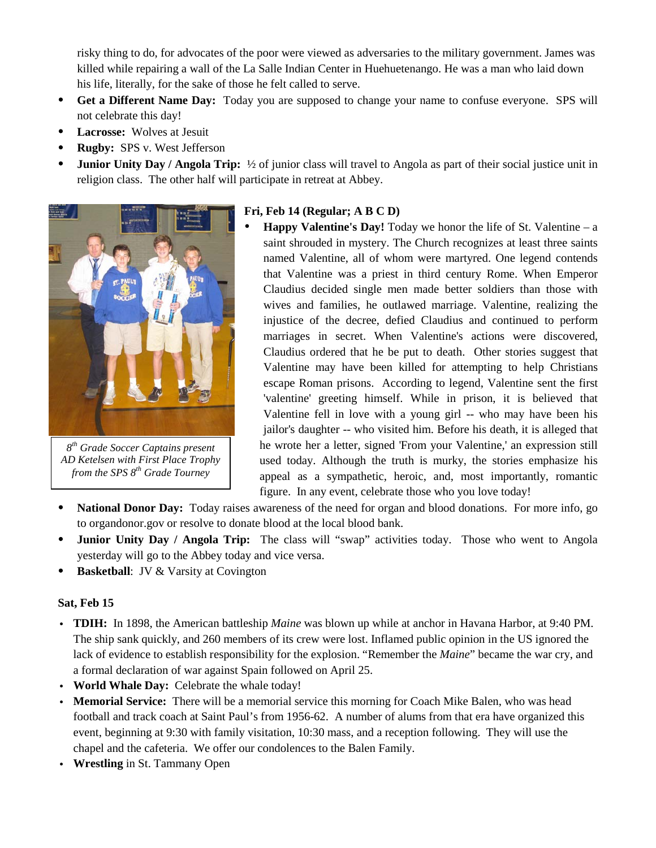risky thing to do, for advocates of the poor were viewed as adversaries to the military government. James was killed while repairing a wall of the La Salle Indian Center in Huehuetenango. He was a man who laid down his life, literally, for the sake of those he felt called to serve.

- **Get a Different Name Day:** Today you are supposed to change your name to confuse everyone. SPS will not celebrate this day!
- **Lacrosse:** Wolves at Jesuit
- **Rugby:** SPS v. West Jefferson
- **Junior Unity Day / Angola Trip:**  $\frac{1}{2}$  of junior class will travel to Angola as part of their social justice unit in religion class. The other half will participate in retreat at Abbey.



*8th Grade Soccer Captains present AD Ketelsen with First Place Trophy from the SPS 8th Grade Tourney*

#### **Fri, Feb 14 (Regular; A B C D)**

- **Happy Valentine's Day!** Today we honor the life of St. Valentine a saint shrouded in mystery. The Church recognizes at least three saints named Valentine, all of whom were martyred. One legend contends that Valentine was a priest in third century Rome. When Emperor Claudius decided single men made better soldiers than those with wives and families, he outlawed marriage. Valentine, realizing the injustice of the decree, defied Claudius and continued to perform marriages in secret. When Valentine's actions were discovered, Claudius ordered that he be put to death. Other stories suggest that Valentine may have been killed for attempting to help Christians escape Roman prisons. According to legend, Valentine sent the first 'valentine' greeting himself. While in prison, it is believed that Valentine fell in love with a young girl -- who may have been his jailor's daughter -- who visited him. Before his death, it is alleged that he wrote her a letter, signed 'From your Valentine,' an expression still used today. Although the truth is murky, the stories emphasize his appeal as a sympathetic, heroic, and, most importantly, romantic figure. In any event, celebrate those who you love today!
- **National Donor Day:** Today raises awareness of the need for organ and blood donations. For more info, go to organdonor.gov or resolve to donate blood at the local blood bank.
- **Junior Unity Day / Angola Trip:** The class will "swap" activities today. Those who went to Angola yesterday will go to the Abbey today and vice versa.
- **Basketball:** JV & Varsity at Covington

#### **Sat, Feb 15**

- v **TDIH:** In 1898, the American battleship *Maine* was blown up while at anchor in Havana Harbor, at 9:40 PM. The ship sank quickly, and 260 members of its crew were lost. Inflamed public opinion in the US ignored the lack of evidence to establish responsibility for the explosion. "Remember the *Maine*" became the war cry, and a formal declaration of war against Spain followed on April 25.
- World Whale Day: Celebrate the whale today!
- Memorial Service: There will be a memorial service this morning for Coach Mike Balen, who was head football and track coach at Saint Paul's from 1956-62. A number of alums from that era have organized this event, beginning at 9:30 with family visitation, 10:30 mass, and a reception following. They will use the chapel and the cafeteria. We offer our condolences to the Balen Family.
- v **Wrestling** in St. Tammany Open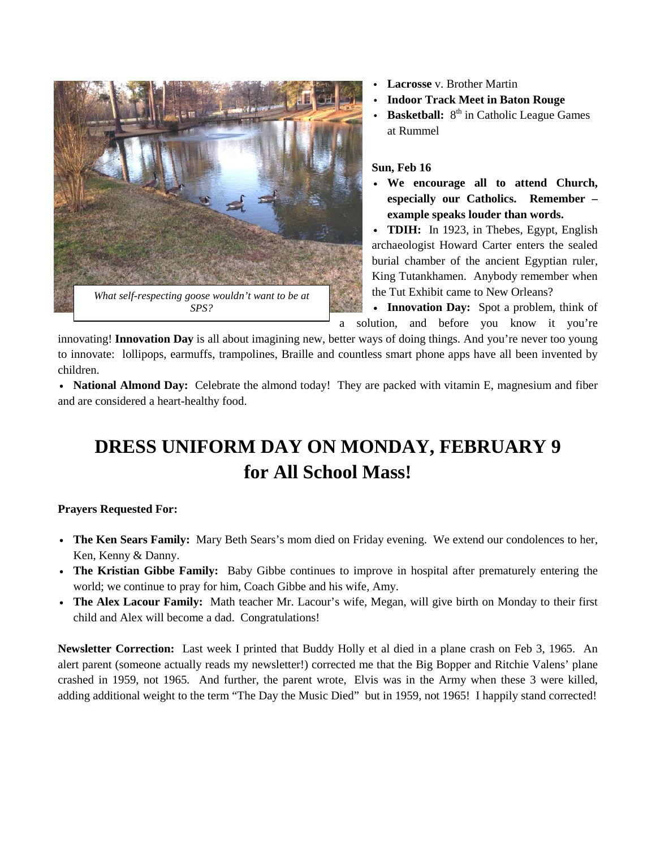

- **Lacrosse** v. Brother Martin
- **Indoor Track Meet in Baton Rouge**
- **Basketball:** 8<sup>th</sup> in Catholic League Games at Rummel

#### **Sun, Feb 16**

• We encourage all to attend Church, **especially our Catholics. Remember – example speaks louder than words.** 

• **TDIH:** In 1923, in Thebes, Egypt, English archaeologist Howard Carter enters the sealed burial chamber of the ancient Egyptian ruler, King Tutankhamen. Anybody remember when the Tut Exhibit came to New Orleans?

• **Innovation Day:** Spot a problem, think of a solution, and before you know it you're

innovating! **Innovation Day** is all about imagining new, better ways of doing things. And you're never too young to innovate: lollipops, earmuffs, trampolines, Braille and countless smart phone apps have all been invented by children.

• National Almond Day: Celebrate the almond today! They are packed with vitamin E, magnesium and fiber and are considered a heart-healthy food.

## **DRESS UNIFORM DAY ON MONDAY, FEBRUARY 9 for All School Mass!**

#### **Prayers Requested For:**

- **The Ken Sears Family:** Mary Beth Sears's mom died on Friday evening. We extend our condolences to her, Ken, Kenny & Danny.
- v **The Kristian Gibbe Family:** Baby Gibbe continues to improve in hospital after prematurely entering the world; we continue to pray for him, Coach Gibbe and his wife, Amy.
- v **The Alex Lacour Family:** Math teacher Mr. Lacour's wife, Megan, will give birth on Monday to their first child and Alex will become a dad. Congratulations!

**Newsletter Correction:** Last week I printed that Buddy Holly et al died in a plane crash on Feb 3, 1965. An alert parent (someone actually reads my newsletter!) corrected me that the Big Bopper and Ritchie Valens' plane crashed in 1959, not 1965. And further, the parent wrote, Elvis was in the Army when these 3 were killed, adding additional weight to the term "The Day the Music Died" but in 1959, not 1965! I happily stand corrected!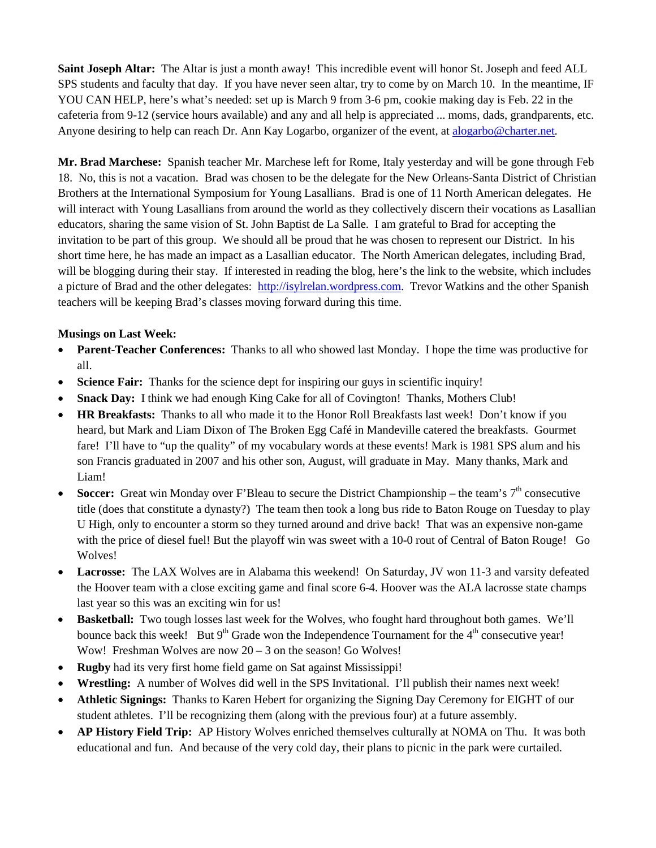**Saint Joseph Altar:** The Altar is just a month away! This incredible event will honor St. Joseph and feed ALL SPS students and faculty that day. If you have never seen altar, try to come by on March 10. In the meantime, IF YOU CAN HELP, here's what's needed: set up is March 9 from 3-6 pm, cookie making day is Feb. 22 in the cafeteria from 9-12 (service hours available) and any and all help is appreciated ... moms, dads, grandparents, etc. Anyone desiring to help can reach Dr. Ann Kay Logarbo, organizer of the event, at [alogarbo@charter.net.](mailto:alogarbo@charter.net)

**Mr. Brad Marchese:** Spanish teacher Mr. Marchese left for Rome, Italy yesterday and will be gone through Feb 18. No, this is not a vacation. Brad was chosen to be the delegate for the New Orleans-Santa District of Christian Brothers at the International Symposium for Young Lasallians. Brad is one of 11 North American delegates. He will interact with Young Lasallians from around the world as they collectively discern their vocations as Lasallian educators, sharing the same vision of St. John Baptist de La Salle. I am grateful to Brad for accepting the invitation to be part of this group. We should all be proud that he was chosen to represent our District. In his short time here, he has made an impact as a Lasallian educator. The North American delegates, including Brad, will be blogging during their stay. If interested in reading the blog, here's the link to the website, which includes a picture of Brad and the other delegates: [http://isylrelan.wordpress.com.](http://isylrelan.wordpress.com/) Trevor Watkins and the other Spanish teachers will be keeping Brad's classes moving forward during this time.

#### **Musings on Last Week:**

- **Parent-Teacher Conferences:** Thanks to all who showed last Monday. I hope the time was productive for all.
- **Science Fair:** Thanks for the science dept for inspiring our guys in scientific inquiry!
- **Snack Day:** I think we had enough King Cake for all of Covington! Thanks, Mothers Club!
- **HR Breakfasts:** Thanks to all who made it to the Honor Roll Breakfasts last week! Don't know if you heard, but Mark and Liam Dixon of The Broken Egg Café in Mandeville catered the breakfasts. Gourmet fare! I'll have to "up the quality" of my vocabulary words at these events! Mark is 1981 SPS alum and his son Francis graduated in 2007 and his other son, August, will graduate in May. Many thanks, Mark and Liam!
- **Soccer:** Great win Monday over F'Bleau to secure the District Championship the team's 7<sup>th</sup> consecutive title (does that constitute a dynasty?) The team then took a long bus ride to Baton Rouge on Tuesday to play U High, only to encounter a storm so they turned around and drive back! That was an expensive non-game with the price of diesel fuel! But the playoff win was sweet with a 10-0 rout of Central of Baton Rouge! Go Wolves!
- Lacrosse: The LAX Wolves are in Alabama this weekend! On Saturday, JV won 11-3 and varsity defeated the Hoover team with a close exciting game and final score 6-4. Hoover was the ALA lacrosse state champs last year so this was an exciting win for us!
- **Basketball:** Two tough losses last week for the Wolves, who fought hard throughout both games. We'll bounce back this week! But  $9<sup>th</sup>$  Grade won the Independence Tournament for the  $4<sup>th</sup>$  consecutive year! Wow! Freshman Wolves are now 20 – 3 on the season! Go Wolves!
- **Rugby** had its very first home field game on Sat against Mississippi!
- **Wrestling:** A number of Wolves did well in the SPS Invitational. I'll publish their names next week!
- **Athletic Signings:** Thanks to Karen Hebert for organizing the Signing Day Ceremony for EIGHT of our student athletes. I'll be recognizing them (along with the previous four) at a future assembly.
- **AP History Field Trip:** AP History Wolves enriched themselves culturally at NOMA on Thu. It was both educational and fun. And because of the very cold day, their plans to picnic in the park were curtailed.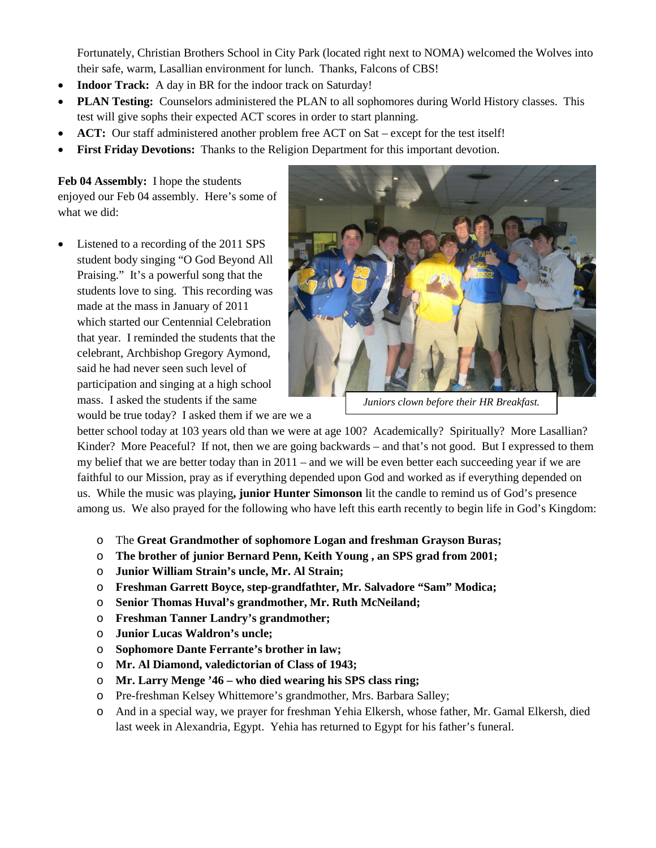Fortunately, Christian Brothers School in City Park (located right next to NOMA) welcomed the Wolves into their safe, warm, Lasallian environment for lunch. Thanks, Falcons of CBS!

- **Indoor Track:** A day in BR for the indoor track on Saturday!
- **PLAN Testing:** Counselors administered the PLAN to all sophomores during World History classes. This test will give sophs their expected ACT scores in order to start planning.
- **ACT:** Our staff administered another problem free ACT on Sat except for the test itself!
- **First Friday Devotions:** Thanks to the Religion Department for this important devotion.

**Feb 04 Assembly:** I hope the students enjoyed our Feb 04 assembly. Here's some of what we did:

Listened to a recording of the 2011 SPS student body singing "O God Beyond All Praising." It's a powerful song that the students love to sing. This recording was made at the mass in January of 2011 which started our Centennial Celebration that year. I reminded the students that the celebrant, Archbishop Gregory Aymond, said he had never seen such level of participation and singing at a high school mass. I asked the students if the same



*Juniors clown before their HR Breakfast.*

would be true today? I asked them if we are we a

better school today at 103 years old than we were at age 100? Academically? Spiritually? More Lasallian? Kinder? More Peaceful? If not, then we are going backwards – and that's not good. But I expressed to them my belief that we are better today than in 2011 – and we will be even better each succeeding year if we are faithful to our Mission, pray as if everything depended upon God and worked as if everything depended on us. While the music was playing**, junior Hunter Simonson** lit the candle to remind us of God's presence among us. We also prayed for the following who have left this earth recently to begin life in God's Kingdom:

- o The **Great Grandmother of sophomore Logan and freshman Grayson Buras;**
- o **The brother of junior Bernard Penn, Keith Young , an SPS grad from 2001;**
- o **Junior William Strain's uncle, Mr. Al Strain;**
- o **Freshman Garrett Boyce, step-grandfathter, Mr. Salvadore "Sam" Modica;**
- o **Senior Thomas Huval's grandmother, Mr. Ruth McNeiland;**
- o **Freshman Tanner Landry's grandmother;**
- o **Junior Lucas Waldron's uncle;**
- o **Sophomore Dante Ferrante's brother in law;**
- o **Mr. Al Diamond, valedictorian of Class of 1943;**
- o **Mr. Larry Menge '46 – who died wearing his SPS class ring;**
- o Pre-freshman Kelsey Whittemore's grandmother, Mrs. Barbara Salley;
- o And in a special way, we prayer for freshman Yehia Elkersh, whose father, Mr. Gamal Elkersh, died last week in Alexandria, Egypt. Yehia has returned to Egypt for his father's funeral.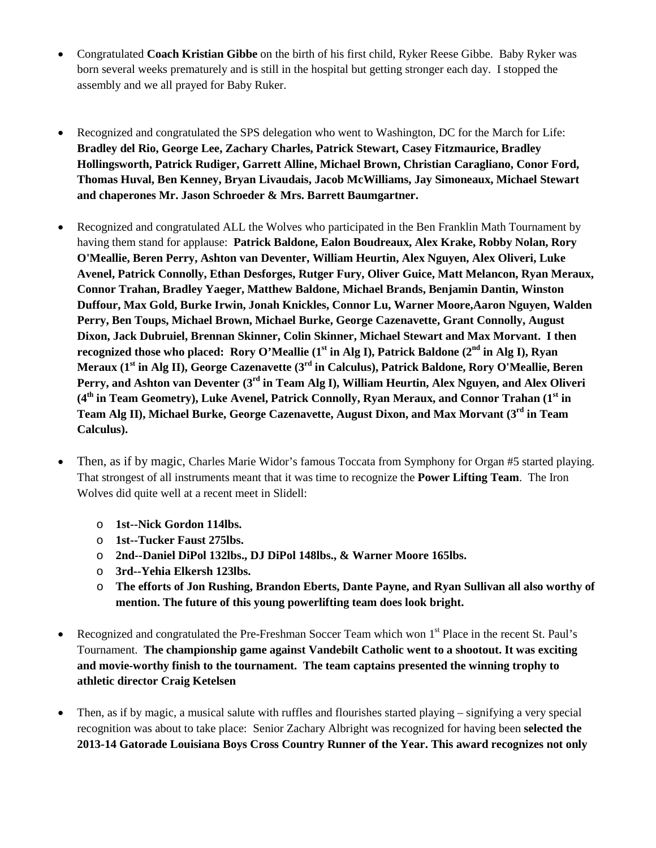- Congratulated **Coach Kristian Gibbe** on the birth of his first child, Ryker Reese Gibbe. Baby Ryker was born several weeks prematurely and is still in the hospital but getting stronger each day. I stopped the assembly and we all prayed for Baby Ruker.
- Recognized and congratulated the SPS delegation who went to Washington, DC for the March for Life: **Bradley del Rio, George Lee, Zachary Charles, Patrick Stewart, Casey Fitzmaurice, Bradley Hollingsworth, Patrick Rudiger, Garrett Alline, Michael Brown, Christian Caragliano, Conor Ford, Thomas Huval, Ben Kenney, Bryan Livaudais, Jacob McWilliams, Jay Simoneaux, Michael Stewart and chaperones Mr. Jason Schroeder & Mrs. Barrett Baumgartner.**
- Recognized and congratulated ALL the Wolves who participated in the Ben Franklin Math Tournament by having them stand for applause: **Patrick Baldone, Ealon Boudreaux, Alex Krake, Robby Nolan, Rory O'Meallie, Beren Perry, Ashton van Deventer, William Heurtin, Alex Nguyen, Alex Oliveri, Luke Avenel, Patrick Connolly, Ethan Desforges, Rutger Fury, Oliver Guice, Matt Melancon, Ryan Meraux, Connor Trahan, Bradley Yaeger, Matthew Baldone, Michael Brands, Benjamin Dantin, Winston Duffour, Max Gold, Burke Irwin, Jonah Knickles, Connor Lu, Warner Moore,Aaron Nguyen, Walden Perry, Ben Toups, Michael Brown, Michael Burke, George Cazenavette, Grant Connolly, August Dixon, Jack Dubruiel, Brennan Skinner, Colin Skinner, Michael Stewart and Max Morvant. I then**  recognized those who placed: Rory O'Meallie (1<sup>st</sup> in Alg I), Patrick Baldone (2<sup>nd</sup> in Alg I), Ryan **Meraux (1st in Alg II), George Cazenavette (3rd in Calculus), Patrick Baldone, Rory O'Meallie, Beren Perry, and Ashton van Deventer (3rd in Team Alg I), William Heurtin, Alex Nguyen, and Alex Oliveri (4th in Team Geometry), Luke Avenel, Patrick Connolly, Ryan Meraux, and Connor Trahan (1st in Team Alg II), Michael Burke, George Cazenavette, August Dixon, and Max Morvant (3rd in Team Calculus).**
- Then, as if by magic, Charles Marie Widor's famous Toccata from Symphony for Organ #5 started playing. That strongest of all instruments meant that it was time to recognize the **Power Lifting Team**. The Iron Wolves did quite well at a recent meet in Slidell:
	- o **1st--Nick Gordon 114lbs.**
	- o **1st--Tucker Faust 275lbs.**
	- o **2nd--Daniel DiPol 132lbs., DJ DiPol 148lbs., & Warner Moore 165lbs.**
	- o **3rd--Yehia Elkersh 123lbs.**
	- o **The efforts of Jon Rushing, Brandon Eberts, Dante Payne, and Ryan Sullivan all also worthy of mention. The future of this young powerlifting team does look bright.**
- Recognized and congratulated the Pre-Freshman Soccer Team which won 1<sup>st</sup> Place in the recent St. Paul's Tournament. **The championship game against Vandebilt Catholic went to a shootout. It was exciting and movie-worthy finish to the tournament. The team captains presented the winning trophy to athletic director Craig Ketelsen**
- Then, as if by magic, a musical salute with ruffles and flourishes started playing signifying a very special recognition was about to take place: Senior Zachary Albright was recognized for having been **selected the 2013-14 Gatorade Louisiana Boys Cross Country Runner of the Year. This award recognizes not only**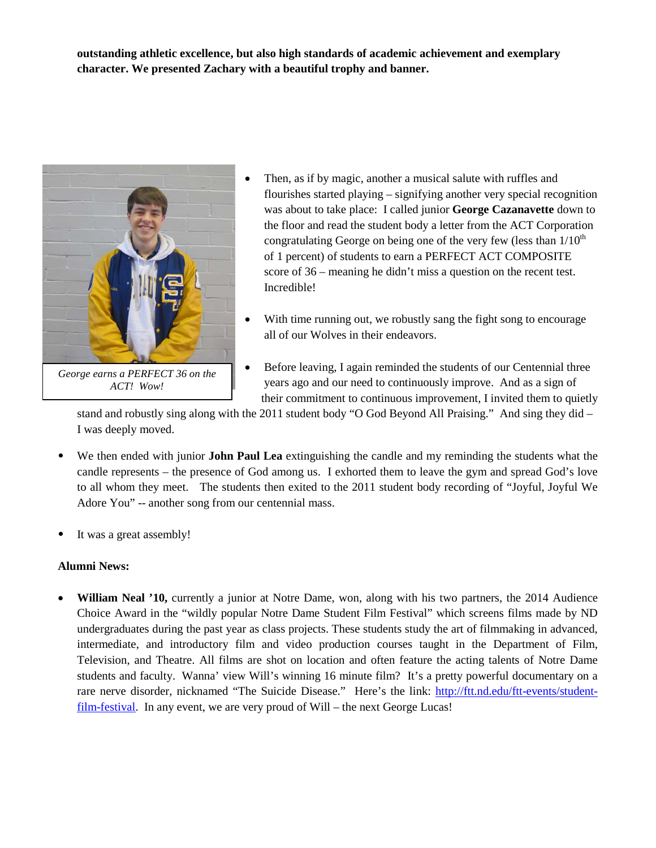**outstanding athletic excellence, but also high standards of academic achievement and exemplary character. We presented Zachary with a beautiful trophy and banner.**



*George earns a PERFECT 36 on the ACT! Wow!*

- Then, as if by magic, another a musical salute with ruffles and flourishes started playing – signifying another very special recognition was about to take place: I called junior **George Cazanavette** down to the floor and read the student body a letter from the ACT Corporation congratulating George on being one of the very few (less than  $1/10<sup>th</sup>$ ) of 1 percent) of students to earn a PERFECT ACT COMPOSITE score of 36 – meaning he didn't miss a question on the recent test. Incredible!
- With time running out, we robustly sang the fight song to encourage all of our Wolves in their endeavors.
- Before leaving, I again reminded the students of our Centennial three years ago and our need to continuously improve. And as a sign of their commitment to continuous improvement, I invited them to quietly

stand and robustly sing along with the 2011 student body "O God Beyond All Praising." And sing they did – I was deeply moved.

- We then ended with junior **John Paul Lea** extinguishing the candle and my reminding the students what the candle represents – the presence of God among us. I exhorted them to leave the gym and spread God's love to all whom they meet.The students then exited to the 2011 student body recording of "Joyful, Joyful We Adore You" -- another song from our centennial mass.
- It was a great assembly!

#### **Alumni News:**

• **William Neal '10,** currently a junior at Notre Dame, won, along with his two partners, the 2014 Audience Choice Award in the "wildly popular Notre Dame Student Film Festival" which screens films made by ND undergraduates during the past year as class projects. These students study the art of filmmaking in advanced, intermediate, and introductory film and video production courses taught in the Department of Film, Television, and Theatre. All films are shot on location and often feature the acting talents of Notre Dame students and faculty. Wanna' view Will's winning 16 minute film? It's a pretty powerful documentary on a rare nerve disorder, nicknamed "The Suicide Disease." Here's the link: [http://ftt.nd.edu/ftt-events/student](http://ftt.nd.edu/ftt-events/student-film-festival)[film-festival.](http://ftt.nd.edu/ftt-events/student-film-festival) In any event, we are very proud of Will – the next George Lucas!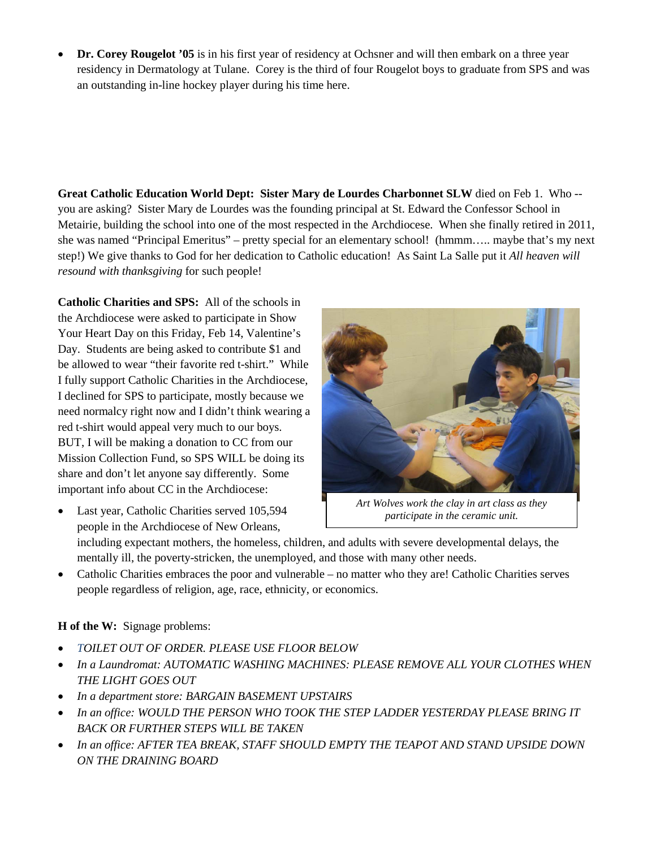• **Dr. Corey Rougelot '05** is in his first year of residency at Ochsner and will then embark on a three year residency in Dermatology at Tulane. Corey is the third of four Rougelot boys to graduate from SPS and was an outstanding in-line hockey player during his time here.

**Great Catholic Education World Dept: Sister Mary de Lourdes Charbonnet SLW** died on Feb 1. Who - you are asking? Sister Mary de Lourdes was the founding principal at St. Edward the Confessor School in Metairie, building the school into one of the most respected in the Archdiocese. When she finally retired in 2011, she was named "Principal Emeritus" – pretty special for an elementary school! (hmmm….. maybe that's my next step!) We give thanks to God for her dedication to Catholic education! As Saint La Salle put it *All heaven will resound with thanksgiving* for such people!

**Catholic Charities and SPS:** All of the schools in the Archdiocese were asked to participate in Show Your Heart Day on this Friday, Feb 14, Valentine's Day. Students are being asked to contribute \$1 and be allowed to wear "their favorite red t-shirt." While I fully support Catholic Charities in the Archdiocese, I declined for SPS to participate, mostly because we need normalcy right now and I didn't think wearing a red t-shirt would appeal very much to our boys. BUT, I will be making a donation to CC from our Mission Collection Fund, so SPS WILL be doing its share and don't let anyone say differently. Some important info about CC in the Archdiocese:

Last year, Catholic Charities served 105,594 people in the Archdiocese of New Orleans,



*Art Wolves work the clay in art class as they participate in the ceramic unit.*

including expectant mothers, the homeless, children, and adults with severe developmental delays, the mentally ill, the poverty-stricken, the unemployed, and those with many other needs.

• Catholic Charities embraces the poor and vulnerable – no matter who they are! Catholic Charities serves people regardless of religion, age, race, ethnicity, or economics.

#### **H of the W:** Signage problems:

- *TOILET OUT OF ORDER. PLEASE USE FLOOR BELOW*
- *In a Laundromat: AUTOMATIC WASHING MACHINES: PLEASE REMOVE ALL YOUR CLOTHES WHEN THE LIGHT GOES OUT*
- *In a department store: BARGAIN BASEMENT UPSTAIRS*
- *In an office: WOULD THE PERSON WHO TOOK THE STEP LADDER YESTERDAY PLEASE BRING IT BACK OR FURTHER STEPS WILL BE TAKEN*
- *In an office: AFTER TEA BREAK, STAFF SHOULD EMPTY THE TEAPOT AND STAND UPSIDE DOWN ON THE DRAINING BOARD*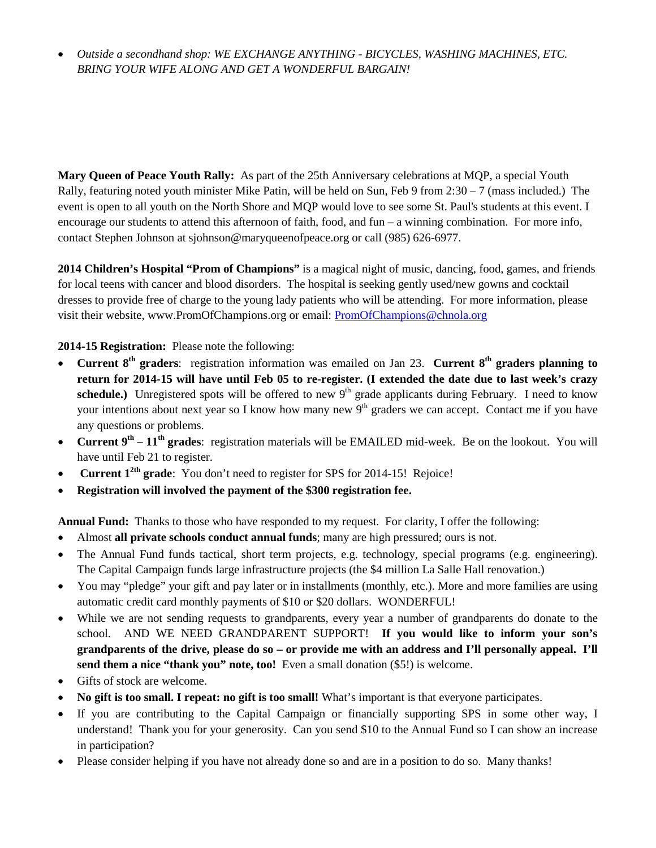• *Outside a secondhand shop: WE EXCHANGE ANYTHING - BICYCLES, WASHING MACHINES, ETC. BRING YOUR WIFE ALONG AND GET A WONDERFUL BARGAIN!* 

**Mary Queen of Peace Youth Rally:** As part of the 25th Anniversary celebrations at MQP, a special Youth Rally, featuring noted youth minister Mike Patin, will be held on Sun, Feb 9 from  $2:30 - 7$  (mass included.) The event is open to all youth on the North Shore and MQP would love to see some St. Paul's students at this event. I encourage our students to attend this afternoon of faith, food, and fun – a winning combination. For more info, contact Stephen Johnson at sjohnson@maryqueenofpeace.org or call (985) 626-6977.

**2014 Children's Hospital "Prom of Champions"** is a magical night of music, dancing, food, games, and friends for local teens with cancer and blood disorders. The hospital is seeking gently used/new gowns and cocktail dresses to provide free of charge to the young lady patients who will be attending. For more information, please visit their website, www.PromOfChampions.org or email: [PromOfChampions@chnola.org](mailto:PromOfChampions@chnola.org)

**2014-15 Registration:** Please note the following:

- **Current 8<sup>th</sup> graders**: registration information was emailed on Jan 23. **Current 8<sup>th</sup> graders planning to return for 2014-15 will have until Feb 05 to re-register. (I extended the date due to last week's crazy**  schedule.) Unregistered spots will be offered to new  $9<sup>th</sup>$  grade applicants during February. I need to know your intentions about next year so I know how many new 9<sup>th</sup> graders we can accept. Contact me if you have any questions or problems.
- **Current 9th – 11th grades**: registration materials will be EMAILED mid-week. Be on the lookout. You will have until Feb 21 to register.
- **Current 12th grade**: You don't need to register for SPS for 2014-15! Rejoice!
- **Registration will involved the payment of the \$300 registration fee.**

**Annual Fund:** Thanks to those who have responded to my request. For clarity, I offer the following:

- Almost **all private schools conduct annual funds**; many are high pressured; ours is not.
- The Annual Fund funds tactical, short term projects, e.g. technology, special programs (e.g. engineering). The Capital Campaign funds large infrastructure projects (the \$4 million La Salle Hall renovation.)
- You may "pledge" your gift and pay later or in installments (monthly, etc.). More and more families are using automatic credit card monthly payments of \$10 or \$20 dollars. WONDERFUL!
- While we are not sending requests to grandparents, every year a number of grandparents do donate to the school. AND WE NEED GRANDPARENT SUPPORT! **If you would like to inform your son's grandparents of the drive, please do so – or provide me with an address and I'll personally appeal. I'll send them a nice "thank you" note, too!** Even a small donation (\$5!) is welcome.
- Gifts of stock are welcome.
- **No gift is too small. I repeat: no gift is too small!** What's important is that everyone participates.
- If you are contributing to the Capital Campaign or financially supporting SPS in some other way, I understand! Thank you for your generosity. Can you send \$10 to the Annual Fund so I can show an increase in participation?
- Please consider helping if you have not already done so and are in a position to do so. Many thanks!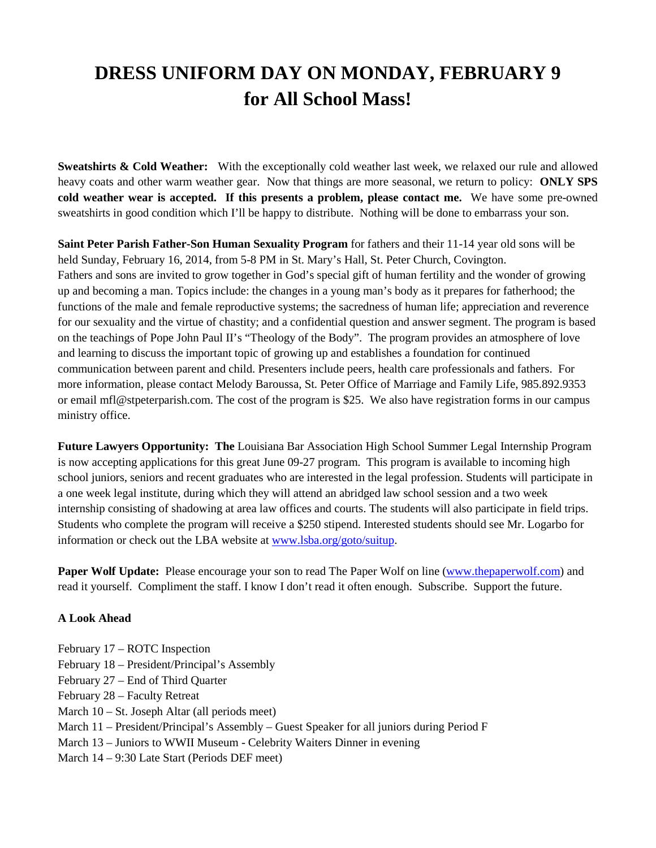## **DRESS UNIFORM DAY ON MONDAY, FEBRUARY 9 for All School Mass!**

**Sweatshirts & Cold Weather:** With the exceptionally cold weather last week, we relaxed our rule and allowed heavy coats and other warm weather gear. Now that things are more seasonal, we return to policy: **ONLY SPS cold weather wear is accepted. If this presents a problem, please contact me.** We have some pre-owned sweatshirts in good condition which I'll be happy to distribute. Nothing will be done to embarrass your son.

**Saint Peter Parish Father-Son Human Sexuality Program** for fathers and their 11-14 year old sons will be held Sunday, February 16, 2014, from 5-8 PM in St. Mary's Hall, St. Peter Church, Covington. Fathers and sons are invited to grow together in God's special gift of human fertility and the wonder of growing up and becoming a man. Topics include: the changes in a young man's body as it prepares for fatherhood; the functions of the male and female reproductive systems; the sacredness of human life; appreciation and reverence for our sexuality and the virtue of chastity; and a confidential question and answer segment. The program is based on the teachings of Pope John Paul II's "Theology of the Body". The program provides an atmosphere of love and learning to discuss the important topic of growing up and establishes a foundation for continued communication between parent and child. Presenters include peers, health care professionals and fathers. For more information, please contact Melody Baroussa, St. Peter Office of Marriage and Family Life, 985.892.9353 or email mfl@stpeterparish.com. The cost of the program is \$25. We also have registration forms in our campus ministry office.

**Future Lawyers Opportunity: The** Louisiana Bar Association High School Summer Legal Internship Program is now accepting applications for this great June 09-27 program. This program is available to incoming high school juniors, seniors and recent graduates who are interested in the legal profession. Students will participate in a one week legal institute, during which they will attend an abridged law school session and a two week internship consisting of shadowing at area law offices and courts. The students will also participate in field trips. Students who complete the program will receive a \$250 stipend. Interested students should see Mr. Logarbo for information or check out the LBA website at [www.lsba.org/goto/suitup.](http://www.lsba.org/goto/suitup)

**Paper Wolf Update:** Please encourage your son to read The Paper Wolf on line [\(www.thepaperwolf.com\)](http://www.thepaperwolf.com/) and read it yourself. Compliment the staff. I know I don't read it often enough. Subscribe. Support the future.

#### **A Look Ahead**

February 17 – ROTC Inspection February 18 – President/Principal's Assembly February 27 – End of Third Quarter February 28 – Faculty Retreat March 10 – St. Joseph Altar (all periods meet) March 11 – President/Principal's Assembly – Guest Speaker for all juniors during Period F March 13 – Juniors to WWII Museum - Celebrity Waiters Dinner in evening March 14 – 9:30 Late Start (Periods DEF meet)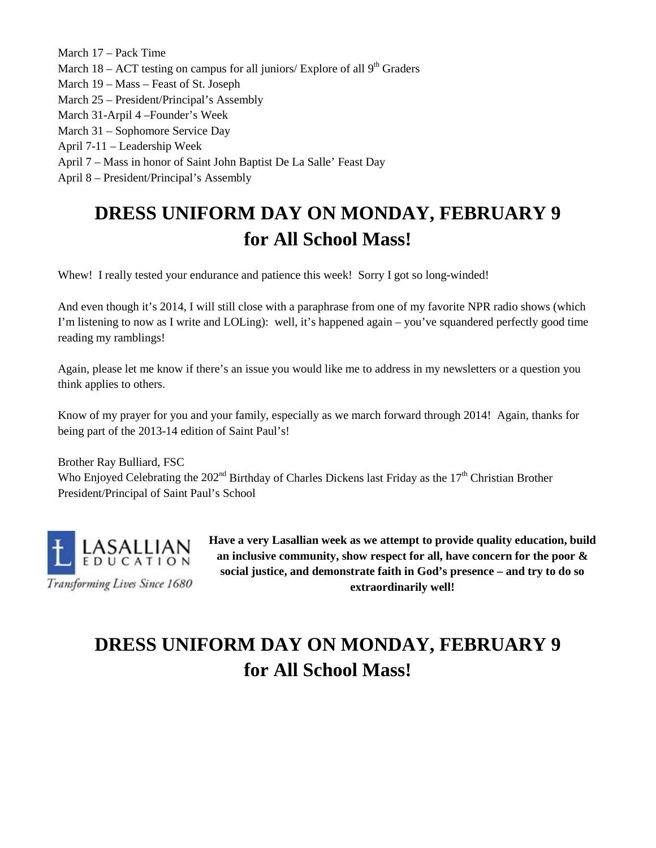March 17 – Pack Time March  $18 - ACT$  testing on campus for all juniors/ Explore of all  $9<sup>th</sup> Graders$ March 19 – Mass – Feast of St. Joseph March 25 – President/Principal's Assembly March 31-Arpil 4 –Founder's Week March 31 – Sophomore Service Day April 7-11 – Leadership Week April 7 – Mass in honor of Saint John Baptist De La Salle' Feast Day April 8 – President/Principal's Assembly

# **DRESS UNIFORM DAY ON MONDAY, FEBRUARY 9 for All School Mass!**

Whew! I really tested your endurance and patience this week! Sorry I got so long-winded!

And even though it's 2014, I will still close with a paraphrase from one of my favorite NPR radio shows (which I'm listening to now as I write and LOLing): well, it's happened again – you've squandered perfectly good time reading my ramblings!

Again, please let me know if there's an issue you would like me to address in my newsletters or a question you think applies to others.

Know of my prayer for you and your family, especially as we march forward through 2014! Again, thanks for being part of the 2013-14 edition of Saint Paul's!

Brother Ray Bulliard, FSC Who Enjoyed Celebrating the  $202<sup>nd</sup>$  Birthday of Charles Dickens last Friday as the  $17<sup>th</sup>$  Christian Brother President/Principal of Saint Paul's School



**an inclusive community, show respect for all, have concern for the poor & social justice, and demonstrate faith in God's presence – and try to do so extraordinarily well!**

# **DRESS UNIFORM DAY ON MONDAY, FEBRUARY 9 for All School Mass!**

**Have a very Lasallian week as we attempt to provide quality education, build**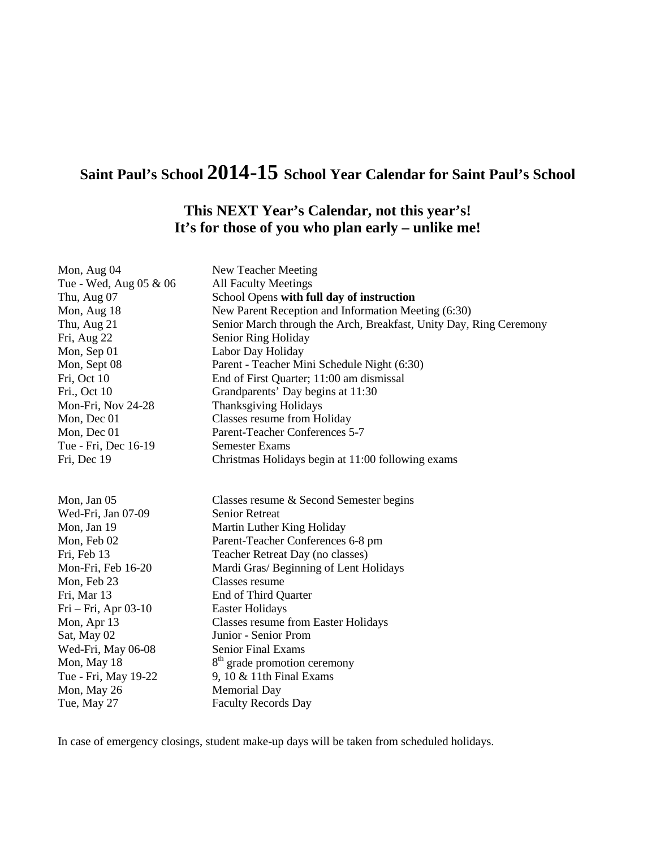### **Saint Paul's School 2014-15 School Year Calendar for Saint Paul's School**

### **This NEXT Year's Calendar, not this year's! It's for those of you who plan early – unlike me!**

| Mon, Aug 04            | New Teacher Meeting                                                |
|------------------------|--------------------------------------------------------------------|
| Tue - Wed, Aug 05 & 06 | <b>All Faculty Meetings</b>                                        |
| Thu, Aug 07            | School Opens with full day of instruction                          |
| Mon, Aug 18            | New Parent Reception and Information Meeting (6:30)                |
| Thu, Aug 21            | Senior March through the Arch, Breakfast, Unity Day, Ring Ceremony |
| Fri, Aug 22            | Senior Ring Holiday                                                |
| Mon, Sep 01            | Labor Day Holiday                                                  |
| Mon, Sept 08           | Parent - Teacher Mini Schedule Night (6:30)                        |
| Fri, Oct 10            | End of First Quarter; 11:00 am dismissal                           |
| Fri., Oct 10           | Grandparents' Day begins at 11:30                                  |
| Mon-Fri, Nov 24-28     | <b>Thanksgiving Holidays</b>                                       |
| Mon, Dec 01            | Classes resume from Holiday                                        |
| Mon, Dec 01            | Parent-Teacher Conferences 5-7                                     |
| Tue - Fri, Dec 16-19   | <b>Semester Exams</b>                                              |
| Fri, Dec 19            | Christmas Holidays begin at 11:00 following exams                  |
|                        |                                                                    |
|                        |                                                                    |
| Mon, Jan 05            | Classes resume & Second Semester begins                            |
| Wed-Fri, Jan 07-09     | <b>Senior Retreat</b>                                              |
| Mon, Jan 19            | Martin Luther King Holiday                                         |
| Mon, Feb 02            | Parent-Teacher Conferences 6-8 pm                                  |
| Fri, Feb 13            | Teacher Retreat Day (no classes)                                   |
| Mon-Fri, Feb 16-20     | Mardi Gras/ Beginning of Lent Holidays                             |
| Mon, Feb 23            | Classes resume                                                     |
| Fri, Mar 13            | End of Third Quarter                                               |
| Fri – Fri, Apr 03-10   | <b>Easter Holidays</b>                                             |
| Mon, Apr 13            | <b>Classes resume from Easter Holidays</b>                         |
| Sat, May 02            | Junior - Senior Prom                                               |
| Wed-Fri, May 06-08     | <b>Senior Final Exams</b>                                          |
| Mon, May 18            | 8 <sup>th</sup> grade promotion ceremony                           |
| Tue - Fri, May 19-22   | 9, 10 $&$ 11th Final Exams                                         |
| Mon, May 26            | <b>Memorial Day</b>                                                |
| Tue, May 27            | <b>Faculty Records Day</b>                                         |

In case of emergency closings, student make-up days will be taken from scheduled holidays.